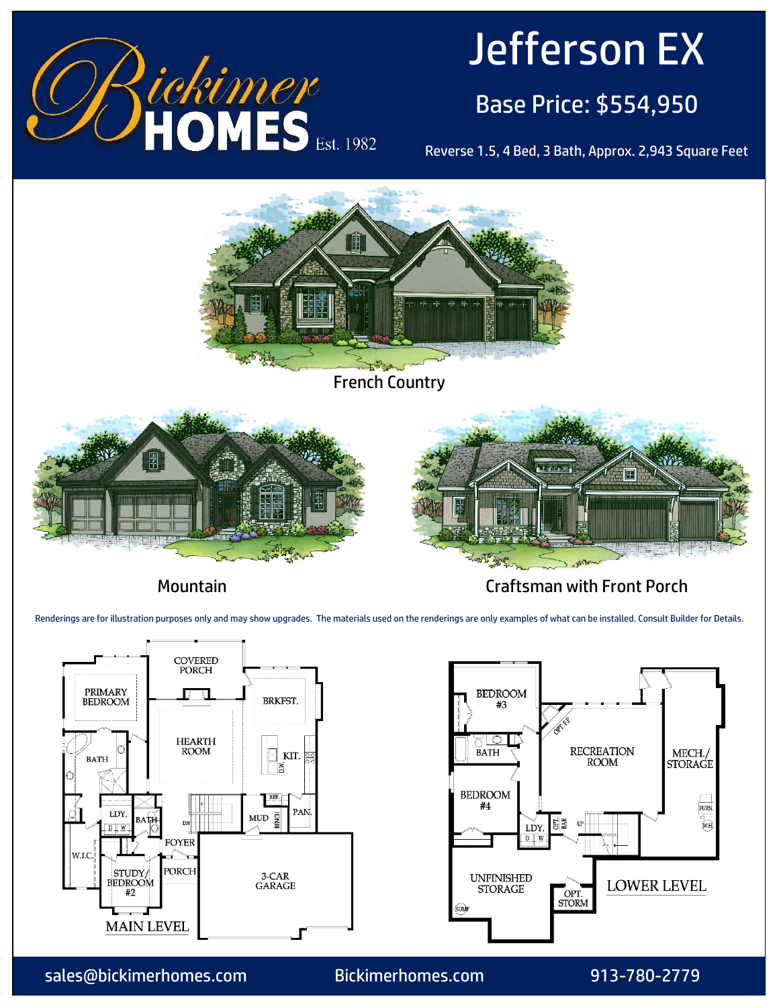

# Jefferson EX

# Base Price: \$554,950

Reverse 1.5, 4 Bed, 3 Bath, Approx. 2,943 Square Feet



Mountain Craftsman with Front Porch

Renderings are for illustration purposes only and may show upgrades. The materials used on the renderings are only examples of what can be installed. Consult Builder for Details.





sales@bickimerhomes.com Bickimerhomes.com 913-780-2779